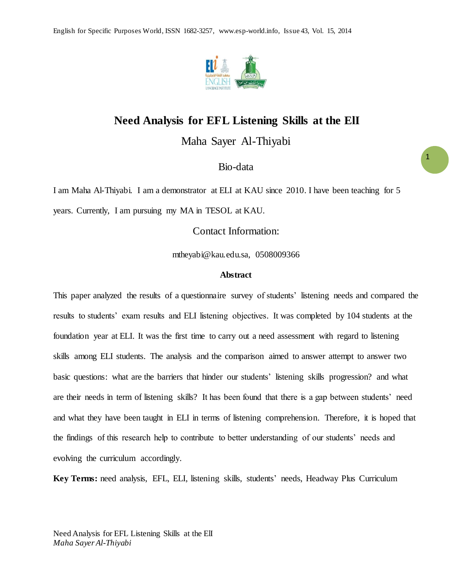

## **Need Analysis for EFL Listening Skills at the ElI**

Maha Sayer Al-Thiyabi

Bio-data

I am Maha Al-Thiyabi. I am a demonstrator at ELI at KAU since 2010. I have been teaching for 5 years. Currently, I am pursuing my MA in TESOL at KAU.

Contact Information:

mtheyabi@kau.edu.sa, 0508009366

#### **Abstract**

This paper analyzed the results of a questionnaire survey of students' listening needs and compared the results to students' exam results and ELI listening objectives. It was completed by 104 students at the foundation year at ELI. It was the first time to carry out a need assessment with regard to listening skills among ELI students. The analysis and the comparison aimed to answer attempt to answer two basic questions: what are the barriers that hinder our students' listening skills progression? and what are their needs in term of listening skills? It has been found that there is a gap between students' need and what they have been taught in ELI in terms of listening comprehension. Therefore, it is hoped that the findings of this research help to contribute to better understanding of our students' needs and evolving the curriculum accordingly.

**Key Terms:** need analysis, EFL, ELI, listening skills, students' needs, Headway Plus Curriculum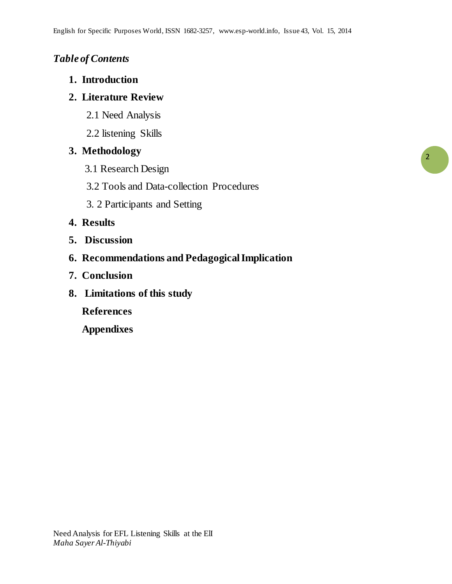# *Table of Contents*

**1. Introduction**

# **2. Literature Review**

- 2.1 Need Analysis
- 2.2 listening Skills

# **3. Methodology**

- 3.1 Research Design
- 3.2 Tools and Data-collection Procedures
- 3. 2 Participants and Setting

# **4. Results**

- **5. Discussion**
- **6. Recommendations and Pedagogical Implication**
- **7. Conclusion**
- **8. Limitations of this study**

**References** 

**Appendixes**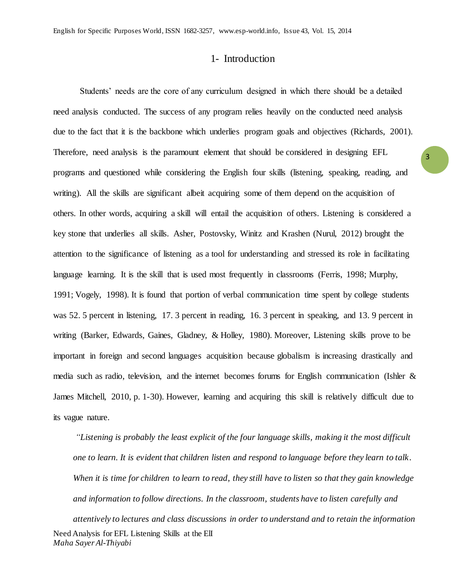## 1- Introduction

3

Students' needs are the core of any curriculum designed in which there should be a detailed need analysis conducted. The success of any program relies heavily on the conducted need analysis due to the fact that it is the backbone which underlies program goals and objectives (Richards, 2001). Therefore, need analysis is the paramount element that should be considered in designing EFL programs and questioned while considering the English four skills (listening, speaking, reading, and writing). All the skills are significant albeit acquiring some of them depend on the acquisition of others. In other words, acquiring a skill will entail the acquisition of others. Listening is considered a key stone that underlies all skills. Asher, Postovsky, Winitz and Krashen (Nurul, 2012) brought the attention to the significance of listening as a tool for understanding and stressed its role in facilitating language learning. It is the skill that is used most frequently in classrooms (Ferris, 1998; Murphy, 1991; Vogely, 1998). It is found that portion of verbal communication time spent by college students was 52. 5 percent in listening, 17. 3 percent in reading, 16. 3 percent in speaking, and 13. 9 percent in writing (Barker, Edwards, Gaines, Gladney, & Holley, 1980). Moreover, Listening skills prove to be important in foreign and second languages acquisition because globalism is increasing drastically and media such as radio, television, and the internet becomes forums for English communication (Ishler & James Mitchell, 2010, p. 1-30). However, learning and acquiring this skill is relatively difficult due to its vague nature.

Need Analysis for EFL Listening Skills at the ElI *Maha Sayer Al-Thiyabi "Listening is probably the least explicit of the four language skills, making it the most difficult one to learn. It is evident that children listen and respond to language before they learn to talk . When it is time for children to learn to read, they still have to listen so that they gain knowledge and information to follow directions. In the classroom, students have to listen carefully and attentively to lectures and class discussions in order to understand and to retain the information*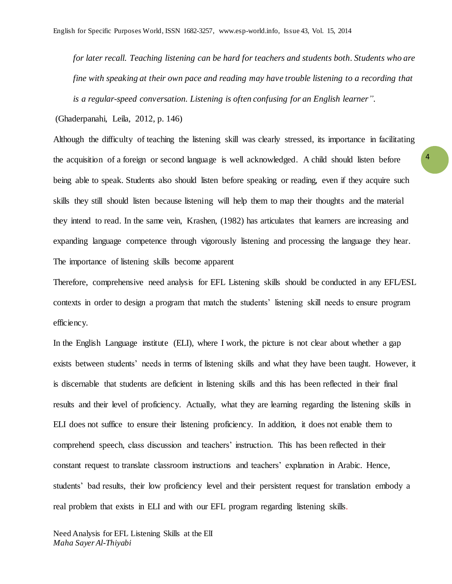*for later recall. Teaching listening can be hard for teachers and students both. Students who are fine with speaking at their own pace and reading may have trouble listening to a recording that is a regular-speed conversation. Listening is often confusing for an English learner".* 

(Ghaderpanahi, Leila, 2012, p. 146)

Although the difficulty of teaching the listening skill was clearly stressed, its importance in facilitating the acquisition of a foreign or second language is well acknowledged. A child should listen before being able to speak. Students also should listen before speaking or reading, even if they acquire such skills they still should listen because listening will help them to map their thoughts and the material they intend to read. In the same vein, Krashen, (1982) has articulates that learners are increasing and expanding language competence through vigorously listening and processing the language they hear. The importance of listening skills become apparent

Therefore, comprehensive need analysis for EFL Listening skills should be conducted in any EFL/ESL contexts in order to design a program that match the students' listening skill needs to ensure program efficiency.

In the English Language institute (ELI), where I work, the picture is not clear about whether a gap exists between students' needs in terms of listening skills and what they have been taught. However, it is discernable that students are deficient in listening skills and this has been reflected in their final results and their level of proficiency. Actually, what they are learning regarding the listening skills in ELI does not suffice to ensure their listening proficiency. In addition, it does not enable them to comprehend speech, class discussion and teachers' instruction. This has been reflected in their constant request to translate classroom instructions and teachers' explanation in Arabic. Hence, students' bad results, their low proficiency level and their persistent request for translation embody a real problem that exists in ELI and with our EFL program regarding listening skills.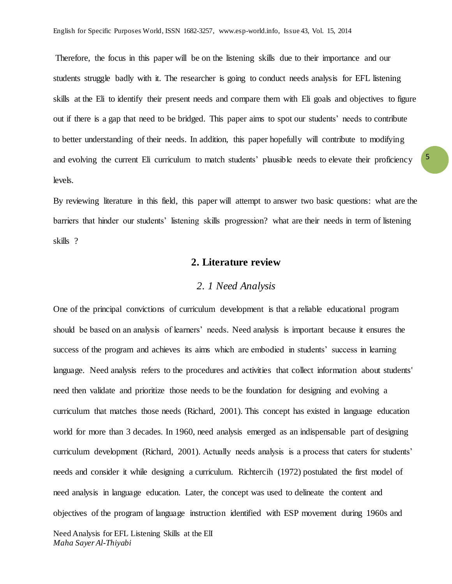Therefore, the focus in this paper will be on the listening skills due to their importance and our students struggle badly with it. The researcher is going to conduct needs analysis for EFL listening skills at the Eli to identify their present needs and compare them with Eli goals and objectives to figure out if there is a gap that need to be bridged. This paper aims to spot our students' needs to contribute to better understanding of their needs. In addition, this paper hopefully will contribute to modifying and evolving the current Eli curriculum to match students' plausible needs to elevate their proficiency levels.

By reviewing literature in this field, this paper will attempt to answer two basic questions: what are the barriers that hinder our students' listening skills progression? what are their needs in term of listening skills ?

## **2. Literature review**

### *2. 1 Need Analysis*

One of the principal convictions of curriculum development is that a reliable educational program should be based on an analysis of learners' needs. Need analysis is important because it ensures the success of the program and achieves its aims which are embodied in students' success in learning language. Need analysis refers to the procedures and activities that collect information about students' need then validate and prioritize those needs to be the foundation for designing and evolving a curriculum that matches those needs (Richard, 2001). This concept has existed in language education world for more than 3 decades. In 1960, need analysis emerged as an indispensable part of designing curriculum development (Richard, 2001). Actually needs analysis is a process that caters for students' needs and consider it while designing a curriculum. Richtercih (1972) postulated the first model of need analysis in language education. Later, the concept was used to delineate the content and objectives of the program of language instruction identified with ESP movement during 1960s and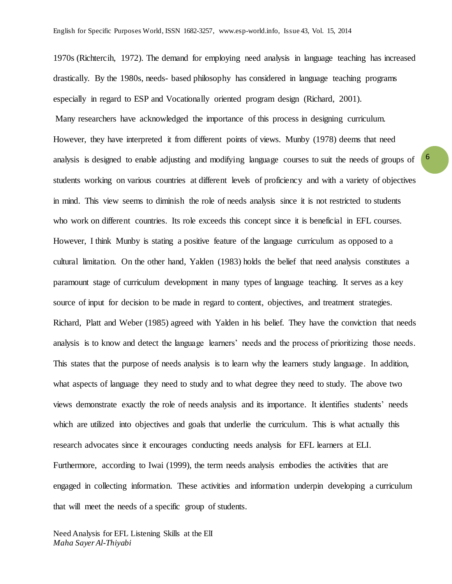1970s (Richtercih, 1972). The demand for employing need analysis in language teaching has increased drastically. By the 1980s, needs- based philosophy has considered in language teaching programs especially in regard to ESP and Vocationally oriented program design (Richard, 2001). Many researchers have acknowledged the importance of this process in designing curriculum. However, they have interpreted it from different points of views. Munby (1978) deems that need analysis is designed to enable adjusting and modifying language courses to suit the needs of groups of students working on various countries at different levels of proficiency and with a variety of objectives in mind. This view seems to diminish the role of needs analysis since it is not restricted to students who work on different countries. Its role exceeds this concept since it is beneficial in EFL courses. However, I think Munby is stating a positive feature of the language curriculum as opposed to a cultural limitation. On the other hand, Yalden (1983) holds the belief that need analysis constitutes a paramount stage of curriculum development in many types of language teaching. It serves as a key source of input for decision to be made in regard to content, objectives, and treatment strategies. Richard, Platt and Weber (1985) agreed with Yalden in his belief. They have the conviction that needs analysis is to know and detect the language learners' needs and the process of prioritizing those needs. This states that the purpose of needs analysis is to learn why the learners study language. In addition, what aspects of language they need to study and to what degree they need to study. The above two views demonstrate exactly the role of needs analysis and its importance. It identifies students' needs which are utilized into objectives and goals that underlie the curriculum. This is what actually this research advocates since it encourages conducting needs analysis for EFL learners at ELI. Furthermore, according to Iwai (1999), the term needs analysis embodies the activities that are engaged in collecting information. These activities and information underpin developing a curriculum that will meet the needs of a specific group of students.

6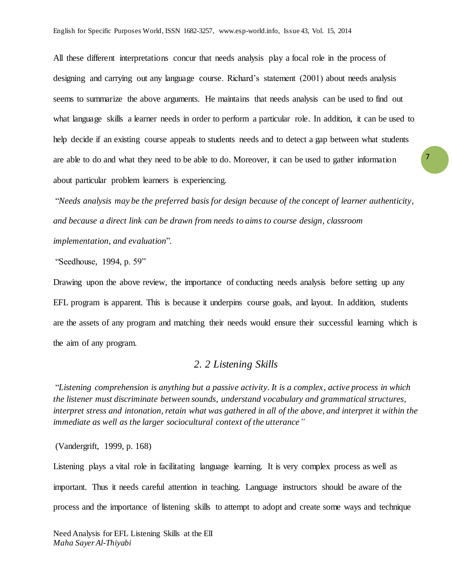All these different interpretations concur that needs analysis play a focal role in the process of designing and carrying out any language course. Richard's statement (2001) about needs analysis seems to summarize the above arguments. He maintains that needs analysis can be used to find out what language skills a learner needs in order to perform a particular role. In addition, it can be used to help decide if an existing course appeals to students needs and to detect a gap between what students are able to do and what they need to be able to do. Moreover, it can be used to gather information about particular problem learners is experiencing.

"*Needs analysis may be the preferred basis for design because of the concept of learner authenticity, and because a direct link can be drawn from needs to aims to course design, classroom implementation, and evaluation*".

"Seedhouse, 1994, p. 59"

Drawing upon the above review, the importance of conducting needs analysis before setting up any EFL program is apparent. This is because it underpins course goals, and layout. In addition, students are the assets of any program and matching their needs would ensure their successful learning which is the aim of any program.

#### *2. 2 Listening Skills*

"*Listening comprehension is anything but a passive activity. It is a complex, active process in which the listener must discriminate between sounds, understand vocabulary and grammatical structures, interpret stress and intonation, retain what was gathered in all of the above, and interpret it within the immediate as well as the larger sociocultural context of the utterance"*

(Vandergrift, 1999, p. 168)

Listening plays a vital role in facilitating language learning. It is very complex process as well as important. Thus it needs careful attention in teaching. Language instructors should be aware of the process and the importance of listening skills to attempt to adopt and create some ways and technique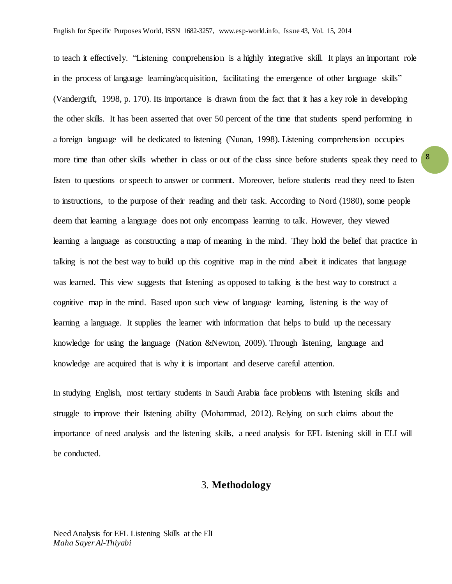to teach it effectively. "Listening comprehension is a highly integrative skill. It plays an important role in the process of language learning/acquisition, facilitating the emergence of other language skills" (Vandergrift, 1998, p. 170). Its importance is drawn from the fact that it has a key role in developing the other skills. It has been asserted that over 50 percent of the time that students spend performing in a foreign language will be dedicated to listening (Nunan, 1998). Listening comprehension occupies more time than other skills whether in class or out of the class since before students speak they need to listen to questions or speech to answer or comment. Moreover, before students read they need to listen to instructions, to the purpose of their reading and their task. According to Nord (1980), some people deem that learning a language does not only encompass learning to talk. However, they viewed learning a language as constructing a map of meaning in the mind. They hold the belief that practice in talking is not the best way to build up this cognitive map in the mind albeit it indicates that language was learned. This view suggests that listening as opposed to talking is the best way to construct a cognitive map in the mind. Based upon such view of language learning, listening is the way of learning a language. It supplies the learner with information that helps to build up the necessary knowledge for using the language (Nation &Newton, 2009). Through listening, language and knowledge are acquired that is why it is important and deserve careful attention.

In studying English, most tertiary students in Saudi Arabia face problems with listening skills and struggle to improve their listening ability (Mohammad, 2012). Relying on such claims about the importance of need analysis and the listening skills, a need analysis for EFL listening skill in ELI will be conducted.

## 3. **Methodology**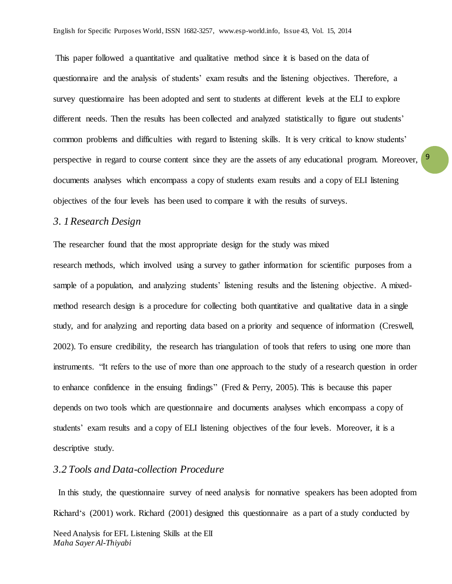This paper followed a quantitative and qualitative method since it is based on the data of questionnaire and the analysis of students' exam results and the listening objectives. Therefore, a survey questionnaire has been adopted and sent to students at different levels at the ELI to explore different needs. Then the results has been collected and analyzed statistically to figure out students' common problems and difficulties with regard to listening skills. It is very critical to know students' perspective in regard to course content since they are the assets of any educational program. Moreover, documents analyses which encompass a copy of students exam results and a copy of ELI listening objectives of the four levels has been used to compare it with the results of surveys.

### *3. 1Research Design*

The researcher found that the most appropriate design for the study was mixed

research methods, which involved using a survey to gather information for scientific purposes from a sample of a population, and analyzing students' listening results and the listening objective. A mixedmethod research design is a procedure for collecting both quantitative and qualitative data in a single study, and for analyzing and reporting data based on a priority and sequence of information (Creswell, 2002). To ensure credibility, the research has triangulation of tools that refers to using one more than instruments. "It refers to the use of more than one approach to the study of a research question in order to enhance confidence in the ensuing findings" (Fred & Perry, 2005). This is because this paper depends on two tools which are questionnaire and documents analyses which encompass a copy of students' exam results and a copy of ELI listening objectives of the four levels. Moreover, it is a descriptive study.

## *3.2 Tools and Data-collection Procedure*

In this study, the questionnaire survey of need analysis for nonnative speakers has been adopted from Richard's (2001) work. Richard (2001) designed this questionnaire as a part of a study conducted by

9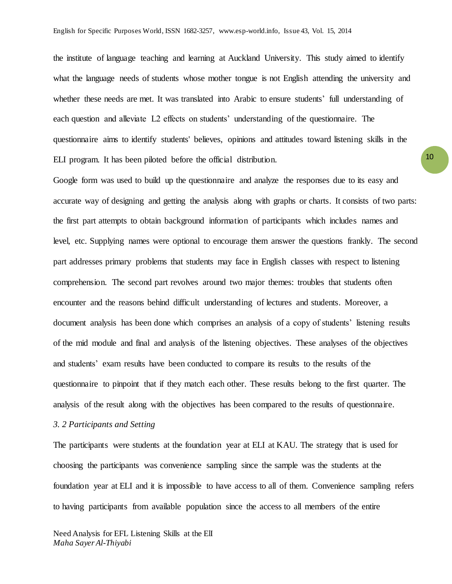the institute of language teaching and learning at Auckland University. This study aimed to identify what the language needs of students whose mother tongue is not English attending the university and whether these needs are met. It was translated into Arabic to ensure students' full understanding of each question and alleviate L2 effects on students' understanding of the questionnaire. The questionnaire aims to identify students' believes, opinions and attitudes toward listening skills in the ELI program. It has been piloted before the official distribution.

Google form was used to build up the questionnaire and analyze the responses due to its easy and accurate way of designing and getting the analysis along with graphs or charts. It consists of two parts: the first part attempts to obtain background information of participants which includes names and level, etc. Supplying names were optional to encourage them answer the questions frankly. The second part addresses primary problems that students may face in English classes with respect to listening comprehension. The second part revolves around two major themes: troubles that students often encounter and the reasons behind difficult understanding of lectures and students. Moreover, a document analysis has been done which comprises an analysis of a copy of students' listening results of the mid module and final and analysis of the listening objectives. These analyses of the objectives and students' exam results have been conducted to compare its results to the results of the questionnaire to pinpoint that if they match each other. These results belong to the first quarter. The analysis of the result along with the objectives has been compared to the results of questionnaire.

#### *3. 2 Participants and Setting*

The participants were students at the foundation year at ELI at KAU. The strategy that is used for choosing the participants was convenience sampling since the sample was the students at the foundation year at ELI and it is impossible to have access to all of them. Convenience sampling refers to having participants from available population since the access to all members of the entire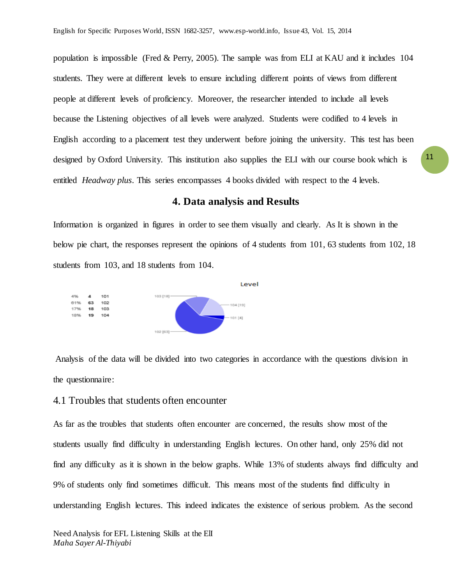population is impossible (Fred & Perry, 2005). The sample was from ELI at KAU and it includes 104 students. They were at different levels to ensure including different points of views from different people at different levels of proficiency. Moreover, the researcher intended to include all levels because the Listening objectives of all levels were analyzed. Students were codified to 4 levels in English according to a placement test they underwent before joining the university. This test has been designed by Oxford University. This institution also supplies the ELI with our course book which is entitled *Headway plus*. This series encompasses 4 books divided with respect to the 4 levels.

#### **4. Data analysis and Results**

Information is organized in figures in order to see them visually and clearly. As It is shown in the below pie chart, the responses represent the opinions of 4 students from 101, 63 students from 102, 18 students from 103, and 18 students from 104.



Analysis of the data will be divided into two categories in accordance with the questions division in the questionnaire:

#### 4.1 Troubles that students often encounter

As far as the troubles that students often encounter are concerned, the results show most of the students usually find difficulty in understanding English lectures. On other hand, only 25% did not find any difficulty as it is shown in the below graphs. While 13% of students always find difficulty and 9% of students only find sometimes difficult. This means most of the students find difficulty in understanding English lectures. This indeed indicates the existence of serious problem. As the second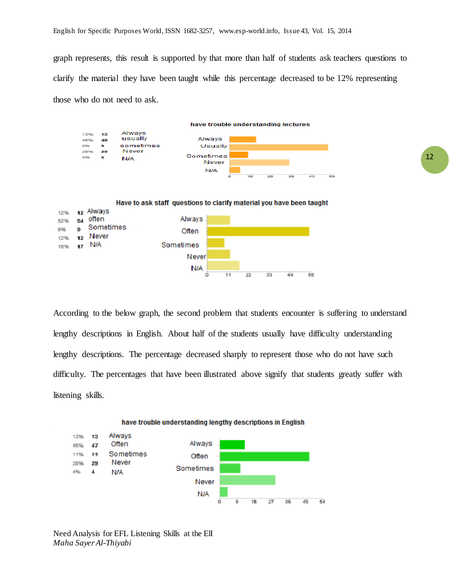graph represents, this result is supported by that more than half of students ask teachers questions to clarify the material they have been taught while this percentage decreased to be 12% representing those who do not need to ask.



N/A ö

According to the below graph, the second problem that students encounter is suffering to understand lengthy descriptions in English. About half of the students usually have difficulty understanding lengthy descriptions. The percentage decreased sharply to represent those who do not have such difficulty. The percentages that have been illustrated above signify that students greatly suffer with listening skills.

 $11$ 

 $\overline{2}2$ 

33

44

 $\overline{55}$ 



#### have trouble understanding lengthy descriptions in English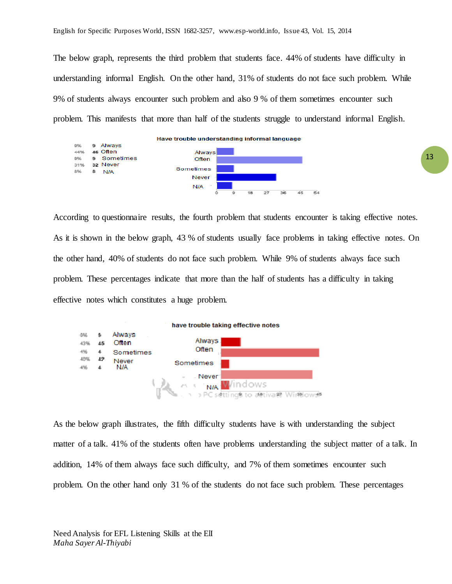The below graph, represents the third problem that students face. 44% of students have difficulty in understanding informal English. On the other hand, 31% of students do not face such problem. While 9% of students always encounter such problem and also 9 % of them sometimes encounter such problem. This manifests that more than half of the students struggle to understand informal English.



According to questionnaire results, the fourth problem that students encounter is taking effective notes. As it is shown in the below graph, 43 % of students usually face problems in taking effective notes. On the other hand, 40% of students do not face such problem. While 9% of students always face such problem. These percentages indicate that more than the half of students has a difficulty in taking effective notes which constitutes a huge problem.



As the below graph illustrates, the fifth difficulty students have is with understanding the subject matter of a talk. 41% of the students often have problems understanding the subject matter of a talk. In addition, 14% of them always face such difficulty, and 7% of them sometimes encounter such problem. On the other hand only 31 % of the students do not face such problem. These percentages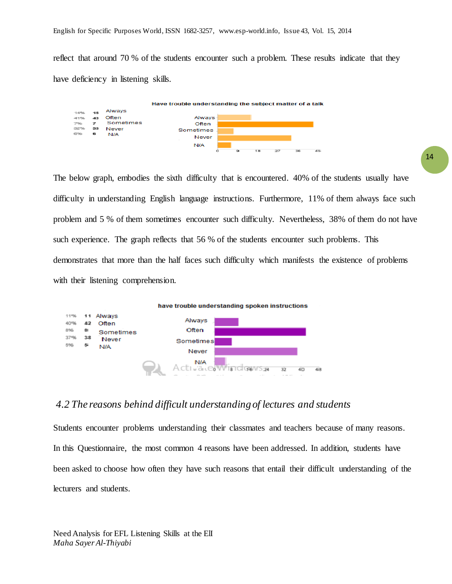reflect that around 70 % of the students encounter such a problem. These results indicate that they have deficiency in listening skills.



The below graph, embodies the sixth difficulty that is encountered. 40% of the students usually have difficulty in understanding English language instructions. Furthermore, 11% of them always face such problem and 5 % of them sometimes encounter such difficulty. Nevertheless, 38% of them do not have such experience. The graph reflects that 56 % of the students encounter such problems. This demonstrates that more than the half faces such difficulty which manifests the existence of problems with their listening comprehension.



### *4.2 The reasons behind difficult understanding of lectures and students*

Students encounter problems understanding their classmates and teachers because of many reasons. In this Questionnaire, the most common 4 reasons have been addressed. In addition, students have been asked to choose how often they have such reasons that entail their difficult understanding of the lecturers and students.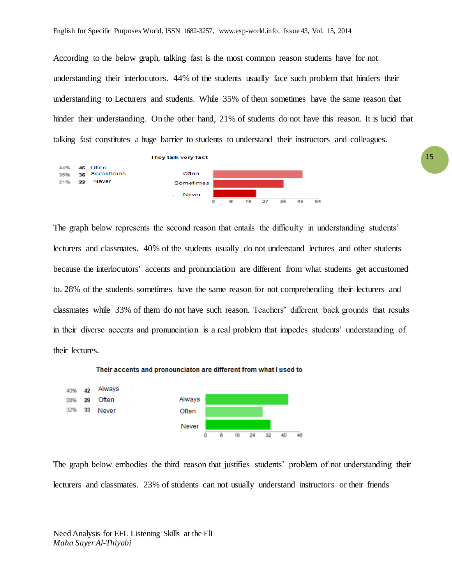According to the below graph, talking fast is the most common reason students have for not understanding their interlocutors. 44% of the students usually face such problem that hinders their understanding to Lecturers and students. While 35% of them sometimes have the same reason that hinder their understanding. On the other hand, 21% of students do not have this reason. It is lucid that talking fast constitutes a huge barrier to students to understand their instructors and colleagues.



The graph below represents the second reason that entails the difficulty in understanding students' lecturers and classmates. 40% of the students usually do not understand lectures and other students because the interlocutors' accents and pronunciation are different from what students get accustomed to. 28% of the students sometimes have the same reason for not comprehending their lecturers and classmates while 33% of them do not have such reason. Teachers' different back grounds that results in their diverse accents and pronunciation is a real problem that impedes students' understanding of their lectures.



The graph below embodies the third reason that justifies students' problem of not understanding their lecturers and classmates. 23% of students can not usually understand instructors or their friends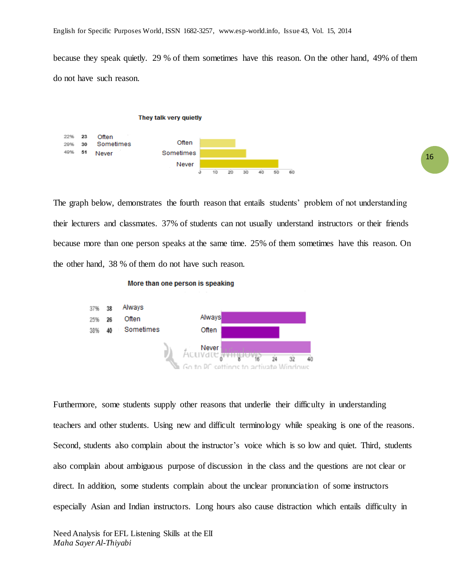because they speak quietly. 29 % of them sometimes have this reason. On the other hand, 49% of them do not have such reason.



The graph below, demonstrates the fourth reason that entails students' problem of not understanding their lecturers and classmates. 37% of students can not usually understand instructors or their friends because more than one person speaks at the same time. 25% of them sometimes have this reason. On the other hand, 38 % of them do not have such reason.

#### More than one person is speaking



Furthermore, some students supply other reasons that underlie their difficulty in understanding teachers and other students. Using new and difficult terminology while speaking is one of the reasons. Second, students also complain about the instructor's voice which is so low and quiet. Third, students also complain about ambiguous purpose of discussion in the class and the questions are not clear or direct. In addition, some students complain about the unclear pronunciation of some instructors especially Asian and Indian instructors. Long hours also cause distraction which entails difficulty in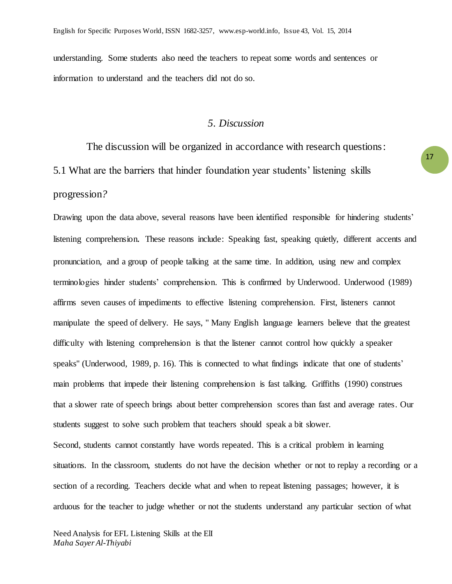understanding. Some students also need the teachers to repeat some words and sentences or information to understand and the teachers did not do so.

## *5. Discussion*

The discussion will be organized in accordance with research questions: 5.1 What are the barriers that hinder foundation year students' listening skills progression*?*

Drawing upon the data above, several reasons have been identified responsible for hindering students' listening comprehension*.* These reasons include: Speaking fast, speaking quietly, different accents and pronunciation, and a group of people talking at the same time. In addition, using new and complex terminologies hinder students' comprehension. This is confirmed by Underwood. Underwood (1989) affirms seven causes of impediments to effective listening comprehension. First, listeners cannot manipulate the speed of delivery. He says, '' Many English language learners believe that the greatest difficulty with listening comprehension is that the listener cannot control how quickly a speaker speaks'' (Underwood, 1989, p. 16). This is connected to what findings indicate that one of students' main problems that impede their listening comprehension is fast talking. Griffiths (1990) construes that a slower rate of speech brings about better comprehension scores than fast and average rates. Our students suggest to solve such problem that teachers should speak a bit slower. Second, students cannot constantly have words repeated. This is a critical problem in learning situations. In the classroom, students do not have the decision whether or not to replay a recording or a section of a recording. Teachers decide what and when to repeat listening passages; however, it is

arduous for the teacher to judge whether or not the students understand any particular section of what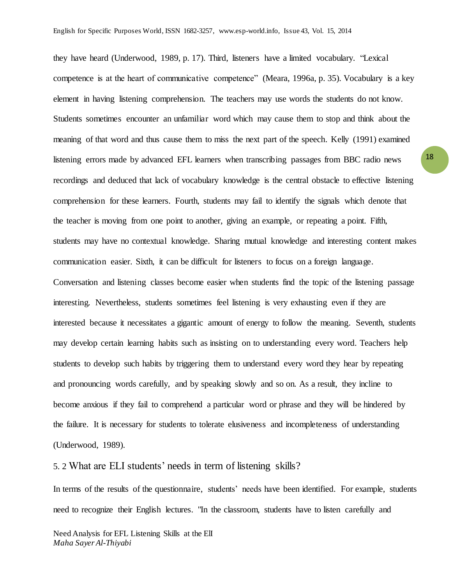they have heard (Underwood, 1989, p. 17). Third, listeners have a limited vocabulary. "Lexical competence is at the heart of communicative competence" (Meara, 1996a, p. 35). Vocabulary is a key element in having listening comprehension. The teachers may use words the students do not know. Students sometimes encounter an unfamiliar word which may cause them to stop and think about the meaning of that word and thus cause them to miss the next part of the speech. Kelly (1991) examined listening errors made by advanced EFL learners when transcribing passages from BBC radio news recordings and deduced that lack of vocabulary knowledge is the central obstacle to effective listening comprehension for these learners. Fourth, students may fail to identify the signals which denote that the teacher is moving from one point to another, giving an example, or repeating a point. Fifth, students may have no contextual knowledge. Sharing mutual knowledge and interesting content makes communication easier. Sixth, it can be difficult for listeners to focus on a foreign language. Conversation and listening classes become easier when students find the topic of the listening passage interesting. Nevertheless, students sometimes feel listening is very exhausting even if they are interested because it necessitates a gigantic amount of energy to follow the meaning. Seventh, students may develop certain learning habits such as insisting on to understanding every word. Teachers help students to develop such habits by triggering them to understand every word they hear by repeating and pronouncing words carefully, and by speaking slowly and so on. As a result, they incline to become anxious if they fail to comprehend a particular word or phrase and they will be hindered by the failure. It is necessary for students to tolerate elusiveness and incompleteness of understanding (Underwood, 1989).

5. 2 What are ELI students' needs in term of listening skills?

In terms of the results of the questionnaire, students' needs have been identified. For example, students need to recognize their English lectures. "In the classroom, students have to listen carefully and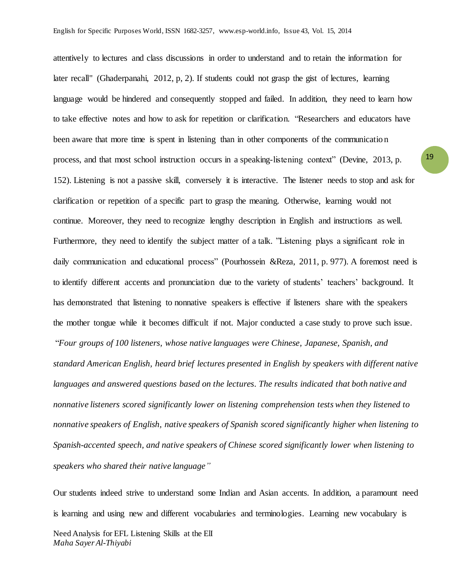attentively to lectures and class discussions in order to understand and to retain the information for later recall" (Ghaderpanahi, 2012, p, 2). If students could not grasp the gist of lectures, learning language would be hindered and consequently stopped and failed. In addition, they need to learn how to take effective notes and how to ask for repetition or clarification. "Researchers and educators have been aware that more time is spent in listening than in other components of the communicatio n process, and that most school instruction occurs in a speaking-listening context" (Devine, 2013, p. 152). Listening is not a passive skill, conversely it is interactive. The listener needs to stop and ask for clarification or repetition of a specific part to grasp the meaning. Otherwise, learning would not continue. Moreover, they need to recognize lengthy description in English and instructions as well. Furthermore, they need to identify the subject matter of a talk. "Listening plays a significant role in daily communication and educational process" (Pourhossein &Reza, 2011, p. 977). A foremost need is to identify different accents and pronunciation due to the variety of students' teachers' background. It has demonstrated that listening to nonnative speakers is effective if listeners share with the speakers the mother tongue while it becomes difficult if not. Major conducted a case study to prove such issue. "*Four groups of 100 listeners, whose native languages were Chinese, Japanese, Spanish, and standard American English, heard brief lectures presented in English by speakers with different native languages and answered questions based on the lectures. The results indicated that both native and nonnative listeners scored significantly lower on listening comprehension tests when they listened to nonnative speakers of English, native speakers of Spanish scored significantly higher when listening to Spanish-accented speech, and native speakers of Chinese scored significantly lower when listening to speakers who shared their native language"*

Our students indeed strive to understand some Indian and Asian accents. In addition, a paramount need is learning and using new and different vocabularies and terminologies. Learning new vocabulary is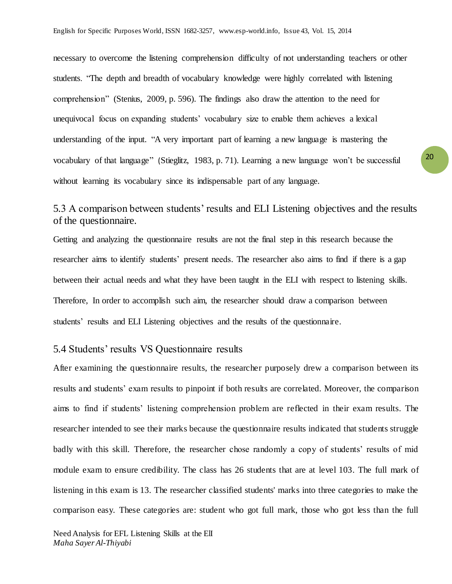necessary to overcome the listening comprehension difficulty of not understanding teachers or other students. "The depth and breadth of vocabulary knowledge were highly correlated with listening comprehension" (Stenius, 2009, p. 596). The findings also draw the attention to the need for unequivocal focus on expanding students' vocabulary size to enable them achieves a lexical understanding of the input. "A very important part of learning a new language is mastering the vocabulary of that language" (Stieglitz, 1983, p. 71). Learning a new language won't be successful without learning its vocabulary since its indispensable part of any language.

## 5.3 A comparison between students' results and ELI Listening objectives and the results of the questionnaire.

Getting and analyzing the questionnaire results are not the final step in this research because the researcher aims to identify students' present needs. The researcher also aims to find if there is a gap between their actual needs and what they have been taught in the ELI with respect to listening skills. Therefore, In order to accomplish such aim, the researcher should draw a comparison between students' results and ELI Listening objectives and the results of the questionnaire.

## 5.4 Students' results VS Questionnaire results

After examining the questionnaire results, the researcher purposely drew a comparison between its results and students' exam results to pinpoint if both results are correlated. Moreover, the comparison aims to find if students' listening comprehension problem are reflected in their exam results. The researcher intended to see their marks because the questionnaire results indicated that students struggle badly with this skill. Therefore, the researcher chose randomly a copy of students' results of mid module exam to ensure credibility. The class has 26 students that are at level 103. The full mark of listening in this exam is 13. The researcher classified students' marks into three categories to make the comparison easy. These categories are: student who got full mark, those who got less than the full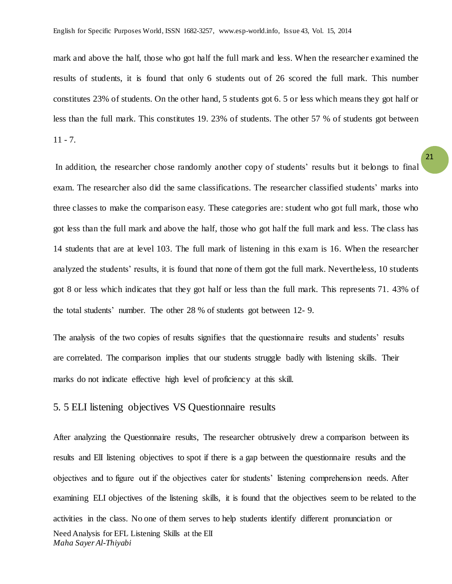mark and above the half, those who got half the full mark and less. When the researcher examined the results of students, it is found that only 6 students out of 26 scored the full mark. This number constitutes 23% of students. On the other hand, 5 students got 6. 5 or less which means they got half or less than the full mark. This constitutes 19. 23% of students. The other 57 % of students got between  $11 - 7.$ 

In addition, the researcher chose randomly another copy of students' results but it belongs to final exam. The researcher also did the same classifications. The researcher classified students' marks into three classes to make the comparison easy. These categories are: student who got full mark, those who got less than the full mark and above the half, those who got half the full mark and less. The class has 14 students that are at level 103. The full mark of listening in this exam is 16. When the researcher analyzed the students' results, it is found that none of them got the full mark. Nevertheless, 10 students got 8 or less which indicates that they got half or less than the full mark. This represents 71. 43% of the total students' number. The other 28 % of students got between 12- 9.

The analysis of the two copies of results signifies that the questionnaire results and students' results are correlated. The comparison implies that our students struggle badly with listening skills. Their marks do not indicate effective high level of proficiency at this skill.

#### 5. 5 ELI listening objectives VS Questionnaire results

Need Analysis for EFL Listening Skills at the ElI *Maha Sayer Al-Thiyabi* After analyzing the Questionnaire results, The researcher obtrusively drew a comparison between its results and ElI listening objectives to spot if there is a gap between the questionnaire results and the objectives and to figure out if the objectives cater for students' listening comprehension needs. After examining ELI objectives of the listening skills, it is found that the objectives seem to be related to the activities in the class. No one of them serves to help students identify different pronunciation or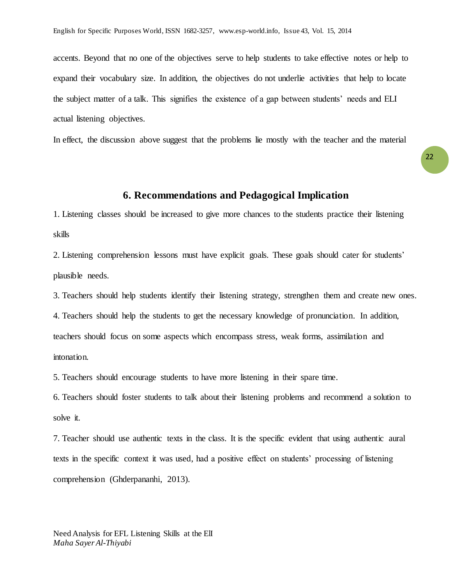accents. Beyond that no one of the objectives serve to help students to take effective notes or help to expand their vocabulary size. In addition, the objectives do not underlie activities that help to locate the subject matter of a talk. This signifies the existence of a gap between students' needs and ELI actual listening objectives.

In effect, the discussion above suggest that the problems lie mostly with the teacher and the material

## **6. Recommendations and Pedagogical Implication**

1. Listening classes should be increased to give more chances to the students practice their listening skills

2. Listening comprehension lessons must have explicit goals. These goals should cater for students' plausible needs.

3. Teachers should help students identify their listening strategy, strengthen them and create new ones.

4. Teachers should help the students to get the necessary knowledge of pronunciation. In addition, teachers should focus on some aspects which encompass stress, weak forms, assimilation and

intonation.

5. Teachers should encourage students to have more listening in their spare time.

6. Teachers should foster students to talk about their listening problems and recommend a solution to solve it.

7. Teacher should use authentic texts in the class. It is the specific evident that using authentic aural texts in the specific context it was used, had a positive effect on students' processing of listening comprehension (Ghderpananhi, 2013).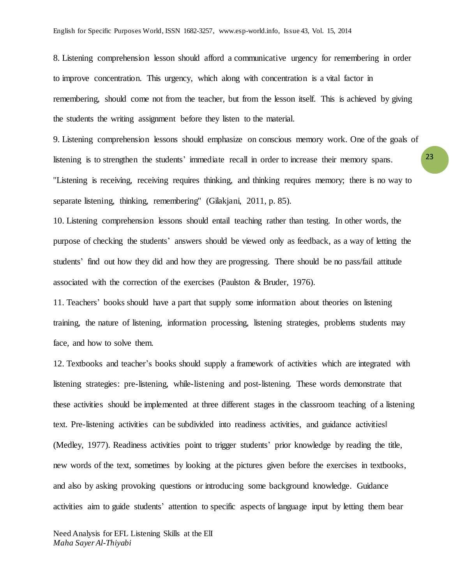8. Listening comprehension lesson should afford a communicative urgency for remembering in order to improve concentration. This urgency, which along with concentration is a vital factor in remembering, should come not from the teacher, but from the lesson itself. This is achieved by giving the students the writing assignment before they listen to the material.

9. Listening comprehension lessons should emphasize on conscious memory work. One of the goals of listening is to strengthen the students' immediate recall in order to increase their memory spans. ''Listening is receiving, receiving requires thinking, and thinking requires memory; there is no way to separate listening, thinking, remembering'' (Gilakjani, 2011, p. 85).

10. Listening comprehension lessons should entail teaching rather than testing. In other words, the purpose of checking the students' answers should be viewed only as feedback, as a way of letting the students' find out how they did and how they are progressing. There should be no pass/fail attitude associated with the correction of the exercises (Paulston & Bruder, 1976).

11. Teachers' books should have a part that supply some information about theories on listening training, the nature of listening, information processing, listening strategies, problems students may face, and how to solve them.

12. Textbooks and teacher's books should supply a framework of activities which are integrated with listening strategies: pre-listening, while-listening and post-listening. These words demonstrate that these activities should be implemented at three different stages in the classroom teaching of a listening text. Pre-listening activities can be subdivided into readiness activities, and guidance activities‖ (Medley, 1977). Readiness activities point to trigger students' prior knowledge by reading the title, new words of the text, sometimes by looking at the pictures given before the exercises in textbooks, and also by asking provoking questions or introducing some background knowledge. Guidance activities aim to guide students' attention to specific aspects of language input by letting them bear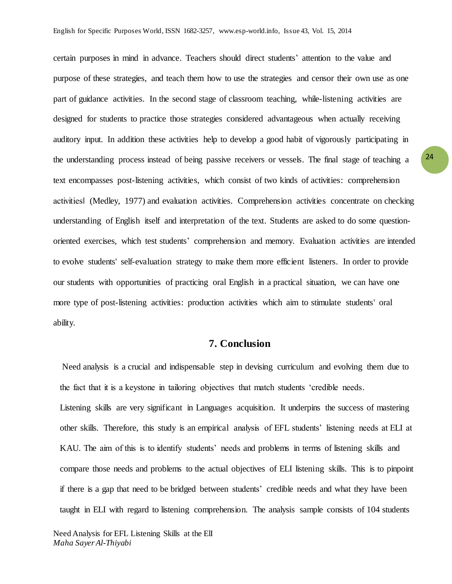certain purposes in mind in advance. Teachers should direct students' attention to the value and purpose of these strategies, and teach them how to use the strategies and censor their own use as one part of guidance activities. In the second stage of classroom teaching, while-listening activities are designed for students to practice those strategies considered advantageous when actually receiving auditory input. In addition these activities help to develop a good habit of vigorously participating in the understanding process instead of being passive receivers or vessels. The final stage of teaching a text encompasses post-listening activities, which consist of two kinds of activities: comprehension activities‖ (Medley, 1977) and evaluation activities. Comprehension activities concentrate on checking understanding of English itself and interpretation of the text. Students are asked to do some questionoriented exercises, which test students' comprehension and memory. Evaluation activities are intended to evolve students' self-evaluation strategy to make them more efficient listeners. In order to provide our students with opportunities of practicing oral English in a practical situation, we can have one more type of post-listening activities: production activities which aim to stimulate students' oral ability.

#### **7. Conclusion**

Need analysis is a crucial and indispensable step in devising curriculum and evolving them due to the fact that it is a keystone in tailoring objectives that match students 'credible needs. Listening skills are very significant in Languages acquisition. It underpins the success of mastering other skills. Therefore, this study is an empirical analysis of EFL students' listening needs at ELI at KAU. The aim of this is to identify students' needs and problems in terms of listening skills and compare those needs and problems to the actual objectives of ELI listening skills. This is to pinpoint if there is a gap that need to be bridged between students' credible needs and what they have been taught in ELI with regard to listening comprehension. The analysis sample consists of 104 students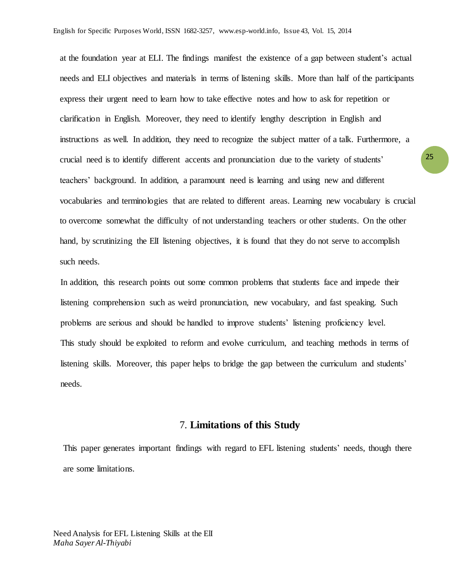at the foundation year at ELI. The findings manifest the existence of a gap between student's actual needs and ELI objectives and materials in terms of listening skills. More than half of the participants express their urgent need to learn how to take effective notes and how to ask for repetition or clarification in English. Moreover, they need to identify lengthy description in English and instructions as well. In addition, they need to recognize the subject matter of a talk. Furthermore, a crucial need is to identify different accents and pronunciation due to the variety of students' teachers' background. In addition, a paramount need is learning and using new and different vocabularies and terminologies that are related to different areas. Learning new vocabulary is crucial to overcome somewhat the difficulty of not understanding teachers or other students. On the other hand, by scrutinizing the ElI listening objectives, it is found that they do not serve to accomplish such needs.

In addition, this research points out some common problems that students face and impede their listening comprehension such as weird pronunciation, new vocabulary, and fast speaking. Such problems are serious and should be handled to improve students' listening proficiency level. This study should be exploited to reform and evolve curriculum, and teaching methods in terms of listening skills. Moreover, this paper helps to bridge the gap between the curriculum and students' needs.

#### 7. **Limitations of this Study**

This paper generates important findings with regard to EFL listening students' needs, though there are some limitations.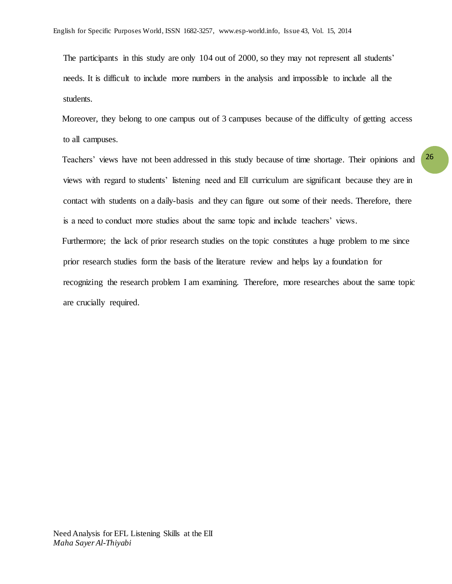The participants in this study are only 104 out of 2000, so they may not represent all students' needs. It is difficult to include more numbers in the analysis and impossible to include all the students.

Moreover, they belong to one campus out of 3 campuses because of the difficulty of getting access to all campuses.

Teachers' views have not been addressed in this study because of time shortage. Their opinions and views with regard to students' listening need and ElI curriculum are significant because they are in contact with students on a daily-basis and they can figure out some of their needs. Therefore, there is a need to conduct more studies about the same topic and include teachers' views. Furthermore; the lack of prior research studies on the topic constitutes a huge problem to me since prior research studies form the basis of the literature review and helps lay a foundation for recognizing the research problem I am examining. Therefore, more researches about the same topic are crucially required.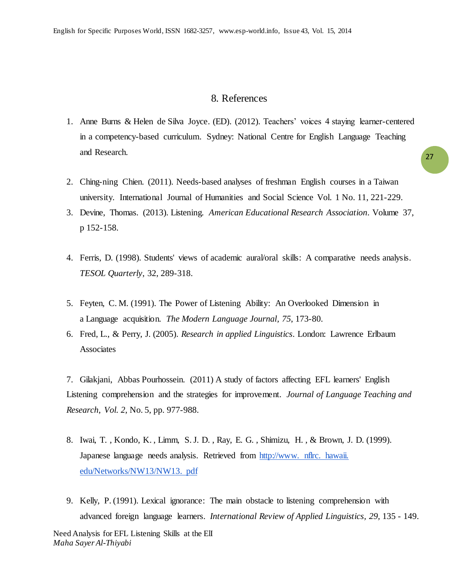## 8. References

- 1. Anne Burns & Helen de Silva Joyce. (ED). (2012). Teachers' voices 4 staying learner-centered in a competency-based curriculum. Sydney: National Centre for English Language Teaching and Research.
- 2. Ching-ning Chien. (2011). Needs-based analyses of freshman English courses in a Taiwan university. International Journal of Humanities and Social Science Vol. 1 No. 11, 221-229.
- 3. Devine, Thomas. (2013). Listening. *American Educational Research Association*. Volume 37, p 152-158.
- 4. Ferris, D. (1998). Students' views of academic aural/oral skills: A comparative needs analysis. *TESOL Quarterly*, 32, 289-318.
- 5. Feyten, C. M. (1991). The Power of Listening Ability: An Overlooked Dimension in a Language acquisition. *The Modern Language Journal, 75*, 173-80.
- 6. Fred, L., & Perry, J. (2005). *Research in applied Linguistics*. London: Lawrence Erlbaum Associates

7. Gilakjani, Abbas Pourhossein. (2011) A study of factors affecting EFL learners' English Listening comprehension and the strategies for improvement. *Journal of Language Teaching and Research*, *Vol. 2*, No. 5, pp. 977-988.

- 8. Iwai, T. , Kondo, K. , Limm, S. J. D. , Ray, E. G. , Shimizu, H. , & Brown, J. D. (1999). Japanese language needs analysis. Retrieved from [http://www. nflrc. hawaii.](http://www.nflrc.hawaii.edu/Networks/NW13/NW13.pdf)  [edu/Networks/NW13/NW13. pdf](http://www.nflrc.hawaii.edu/Networks/NW13/NW13.pdf)
- 9. Kelly, P. (1991). Lexical ignorance: The main obstacle to listening comprehension with advanced foreign language learners. *International Review of Applied Linguistics*, 29, 135 - 149.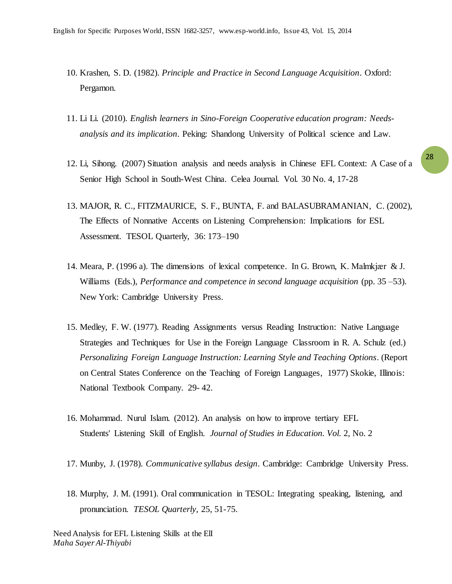- 10. Krashen, S. D. (1982). *Principle and Practice in Second Language Acquisition*. Oxford: Pergamon.
- 11. Li Li. (2010). *English learners in Sino-Foreign Cooperative education program: Needsanalysis and its implication*. Peking: Shandong University of Political science and Law.
- 12. Li, Sihong. (2007) Situation analysis and needs analysis in Chinese EFL Context: A Case of a Senior High School in South-West China. Celea Journal. Vol. 30 No. 4, 17-28
- 13. MAJOR, R. C., FITZMAURICE, S. F., BUNTA, F. and BALASUBRAMANIAN, C. (2002), The Effects of Nonnative Accents on Listening Comprehension: Implications for ESL Assessment. TESOL Quarterly, 36: 173–190
- 14. Meara, P. (1996 a). The dimensions of lexical competence. In G. Brown, K. Malmkjær & J. Williams (Eds.), *Performance and competence in second language acquisition* (pp. 35 –53). New York: Cambridge University Press.
- 15. Medley, F. W. (1977). Reading Assignments versus Reading Instruction: Native Language Strategies and Techniques for Use in the Foreign Language Classroom in R. A. Schulz (ed.) *Personalizing Foreign Language Instruction: Learning Style and Teaching Options*. (Report on Central States Conference on the Teaching of Foreign Languages, 1977) Skokie, Illinois: National Textbook Company. 29- 42.
- 16. Mohammad. Nurul Islam. (2012). An analysis on how to improve tertiary EFL Students' Listening Skill of English. *Journal of Studies in Education. Vol.* 2, No. 2
- 17. Munby, J. (1978). *Communicative syllabus design*. Cambridge: Cambridge University Press.
- 18. Murphy, J. M. (1991). Oral communication in TESOL: Integrating speaking, listening, and pronunciation. *TESOL Quarterly*, 25, 51-75.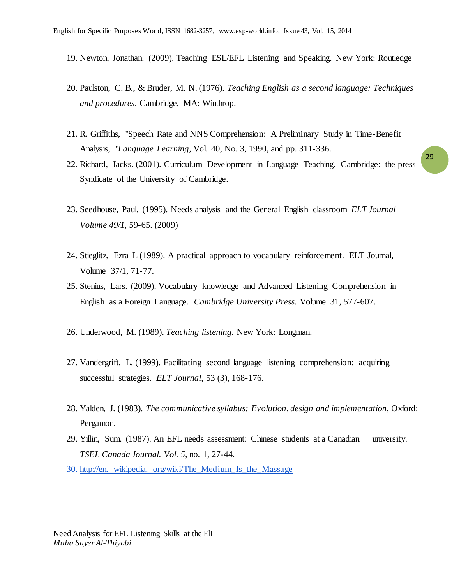- 19. Newton, Jonathan. (2009). Teaching ESL/EFL Listening and Speaking. New York: Routledge
- 20. Paulston, C. B., & Bruder, M. N. (1976). *Teaching English as a second language: Techniques and procedures*. Cambridge, MA: Winthrop.
- 21. R. Griffiths, "Speech Rate and NNS Comprehension: A Preliminary Study in Time-Benefit Analysis, "*Language Learning*, Vol. 40, No. 3, 1990, and pp. 311-336.
- 22. Richard, Jacks. (2001). Curriculum Development in Language Teaching. Cambridge: the press Syndicate of the University of Cambridge.
- 23. Seedhouse, Paul. (1995). Needs analysis and the General English classroom *ELT Journal Volume 49/1*, 59-65. (2009)
- 24. Stieglitz, Ezra L (1989). A practical approach to vocabulary reinforcement. ELT Journal, Volume 37/1, 71-77.
- 25. Stenius, Lars. (2009). Vocabulary knowledge and Advanced Listening Comprehension in English as a Foreign Language. *Cambridge University Press.* Volume 31, 577-607.
- 26. Underwood, M. (1989). *Teaching listening*. New York: Longman.
- 27. Vandergrift, L. (1999). Facilitating second language listening comprehension: acquiring successful strategies. *ELT Journal*, 53 (3), 168-176.
- 28. Yalden, J. (1983). *The communicative syllabus: Evolution, design and implementation*, Oxford: Pergamon.
- 29. Yillin, Sum. (1987). An EFL needs assessment: Chinese students at a Canadian university. *TSEL Canada Journal. Vol. 5,* no. 1, 27-44.
- 30. http://en. wikipedia. org/wiki/The\_Medium\_Is\_the\_Massage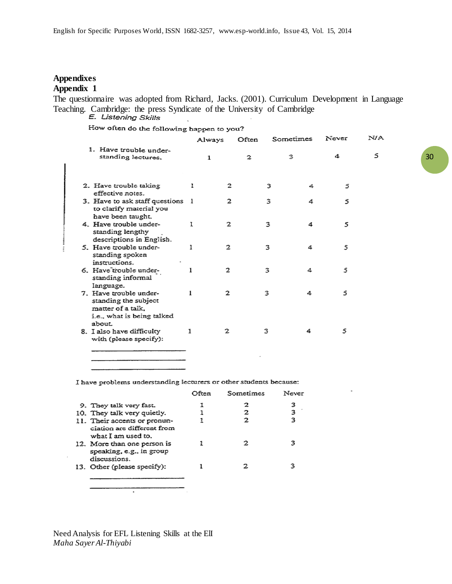### **Appendixes Appendix 1**

The questionnaire was adopted from Richard, Jacks. (2001). Curriculum Development in Language Teaching. Cambridge: the press Syndicate of the University of Cambridge  $E$ . Listening Skills

How often do the following happen to you?

 $\overline{a}$ 

|                                                                                                   |   | Always | Often | Sometimes | Never | N/A |
|---------------------------------------------------------------------------------------------------|---|--------|-------|-----------|-------|-----|
| 1. Have trouble under-<br>standing lectures.                                                      |   | 1      | 2     | 3         | 4     | 5   |
| 2. Have trouble taking<br>effective notes.                                                        |   | 2      | 3     | 4         | 5     |     |
| 3. Have to ask staff questions 1<br>to clarify material you<br>have been taught.                  |   | 2      | 3     | 4         | 5     |     |
| 4. Have trouble under-<br>standing lengthy<br>descriptions in English.                            | 1 | 2      | 3     | 4         | 5     |     |
| 5. Have trouble under-<br>standing spoken<br>instructions.                                        | ı | 2      | 3     | 4         | 5     |     |
| 6. Have trouble under-<br>standing informal<br>language.                                          | ı | 2      | 3     | 4         | 5     |     |
| 7. Have trouble under-<br>standing the subject<br>matter of a talk.<br>i.e., what is being talked | 1 | 2      | 3     | 4         | 5     |     |
| about<br>8. I also have difficulty<br>with (please specify):                                      | 1 | 2      | 3     | 4         | 5     |     |

I have problems understanding lecturers or other students because:

|                                                                                  | Often | Sometimes | Never |
|----------------------------------------------------------------------------------|-------|-----------|-------|
| 9. They talk very fast.                                                          |       |           | 3     |
| 10. They talk very quietly.                                                      |       | 2         | 3     |
| 11. Their accents or pronun-<br>ciation are different from<br>what I am used to. |       | っ         | 3     |
| 12. More than one person is<br>speaking, e.g., in group<br>discussions.          |       |           |       |
| 13. Other (please specify):                                                      |       |           |       |

Need Analysis for EFL Listening Skills at the ElI *Maha Sayer Al-Thiyabi*

٠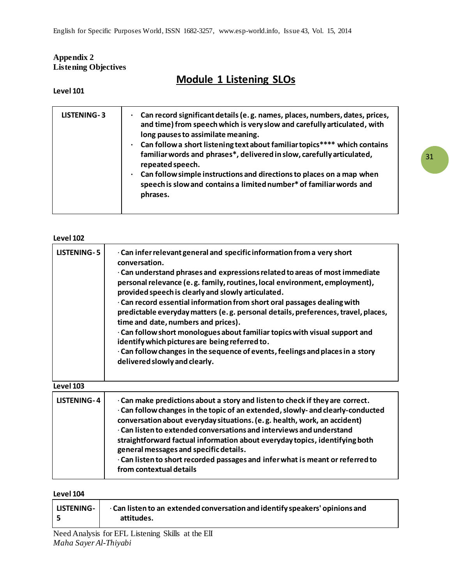## **Appendix 2 Listening Objectives**

# **Module 1 Listening SLOs**

**Level 101**

| LISTENING-3 | Can record significant details (e.g. names, places, numbers, dates, prices,<br>and time) from speech which is very slow and carefully articulated, with<br>long pauses to assimilate meaning.<br>Can follow a short listening text about familiar topics**** which contains<br>familiar words and phrases*, delivered in slow, carefully articulated,<br>repeated speech.<br>Can follow simple instructions and directions to places on a map when<br>speech is slow and contains a limited number* of familiar words and<br>phrases. |
|-------------|---------------------------------------------------------------------------------------------------------------------------------------------------------------------------------------------------------------------------------------------------------------------------------------------------------------------------------------------------------------------------------------------------------------------------------------------------------------------------------------------------------------------------------------|
|             |                                                                                                                                                                                                                                                                                                                                                                                                                                                                                                                                       |

#### **Level 102**

| <b>LISTENING-5</b> | · Can infer relevant general and specific information from a very short<br>conversation.<br>· Can understand phrases and expressions related to areas of most immediate<br>personal relevance (e.g. family, routines, local environment, employment),<br>provided speech is clearly and slowly articulated.<br>· Can record essential information from short oral passages dealing with<br>predictable everyday matters (e.g. personal details, preferences, travel, places,<br>time and date, numbers and prices).<br>· Can follow short monologues about familiar topics with visual support and<br>identify which pictures are being referred to.<br>· Can follow changes in the sequence of events, feelings and places in a story<br>delivered slowly and clearly. |
|--------------------|-------------------------------------------------------------------------------------------------------------------------------------------------------------------------------------------------------------------------------------------------------------------------------------------------------------------------------------------------------------------------------------------------------------------------------------------------------------------------------------------------------------------------------------------------------------------------------------------------------------------------------------------------------------------------------------------------------------------------------------------------------------------------|
| Level 103          |                                                                                                                                                                                                                                                                                                                                                                                                                                                                                                                                                                                                                                                                                                                                                                         |

| <b>LISTENING-4</b> | · Can make predictions about a story and listen to check if they are correct.<br>· Can follow changes in the topic of an extended, slowly- and clearly-conducted<br>conversation about everyday situations. (e.g. health, work, an accident)<br>· Can listen to extended conversations and interviews and understand<br>straightforward factual information about everyday topics, identifying both<br>general messages and specific details.<br>· Can listen to short recorded passages and infer what is meant or referred to<br>from contextual details |
|--------------------|------------------------------------------------------------------------------------------------------------------------------------------------------------------------------------------------------------------------------------------------------------------------------------------------------------------------------------------------------------------------------------------------------------------------------------------------------------------------------------------------------------------------------------------------------------|
|                    |                                                                                                                                                                                                                                                                                                                                                                                                                                                                                                                                                            |

#### **Level 104**

| LISTENING- | · Can listen to an extended conversation and identify speakers' opinions and<br>attitudes. |
|------------|--------------------------------------------------------------------------------------------|
|            |                                                                                            |